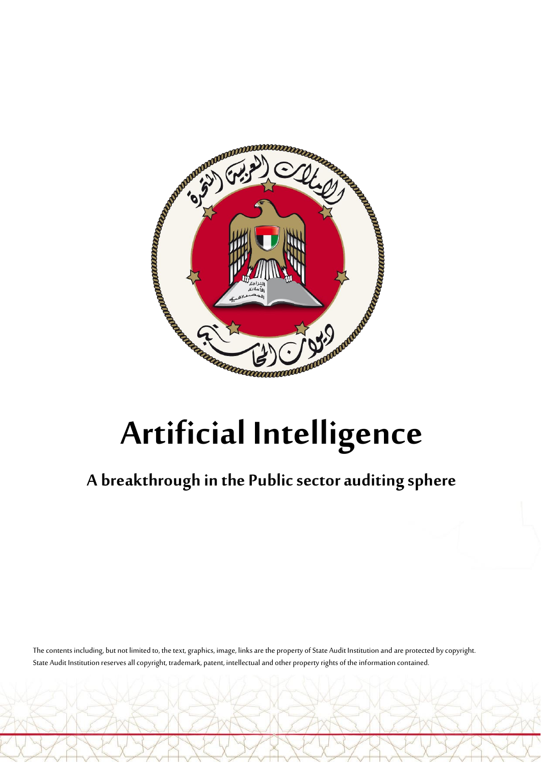

## **A breakthrough in the Public sector auditing sphere**

The contents including, but not limited to, the text, graphics, image, links are the property of State Audit Institution and are protected by copyright. State Audit Institution reserves all copyright, trademark, patent, intellectual and other property rights of the information contained.

 $\bigcap$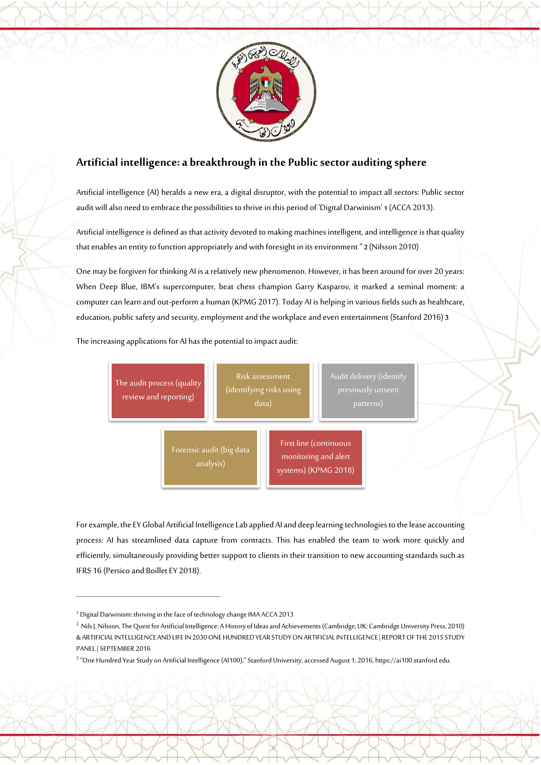

## **Artificial intelligence: a breakthrough in the Public sector auditing sphere**

Artificial intelligence (AI) heralds a new era, a digital disruptor, with the potential to impact all sectors: Public sector audit will also need to embrace the possibilities to thrive in this period of 'Digital Darwinism' **1** (ACCA 2013).

Artificial intelligence is defined as that activity devoted to making machines intelligent, and intelligence is that quality that enables an entity to function appropriately and with foresight in its environment " **2** (Nilsson 2010)

One may be forgiven for thinking AI is a relatively new phenomenon. However, it has been around for over 20 years: When Deep Blue, IBM's supercomputer, beat chess champion Garry Kasparov, it marked a seminal moment: a computer can learn and out-perform a human (KPMG 2017). Today AI is helping in various fields such as healthcare, education, public safety and security, employment and the workplace and even entertainment (Stanford 2016) **3**

The increasing applications for AI has the potential to impact audit:



For example, the EY Global Artificial Intelligence Lab applied AI and deep learning technologies to the lease accounting process: AI has streamlined data capture from contracts. This has enabled the team to work more quickly and efficiently, simultaneously providing better support to clients in their transition to new accounting standards such as IFRS 16 (Persico and Boillet EY 2018).

\_\_\_\_\_\_\_\_\_\_\_\_\_\_\_\_\_\_\_\_\_\_\_\_\_\_\_\_\_\_\_\_\_\_\_\_\_\_\_\_\_\_\_\_\_\_\_\_

 $\rightarrow$ 

3 "One Hundred Year Study on Artificial Intelligence (AI100)," Stanford University, accessed August 1, 2016, https://ai100.stanford.edu.

<sup>1</sup> Digital Darwinism: thriving in the face of technology change IMA ACCA 2013

<sup>&</sup>lt;sup>2</sup> Nils J. Nilsson, The Quest for Artificial Intelligence: A History of Ideas and Achievements (Cambridge, UK: Cambridge University Press, 2010) & ARTIFICIAL INTELLIGENCE AND LIFE IN 2030 ONE HUNDRED YEAR STUDY ON ARTIFICIAL INTELLIGENCE | REPORT OF THE 2015 STUDY PANEL | SEPTEMBER 2016